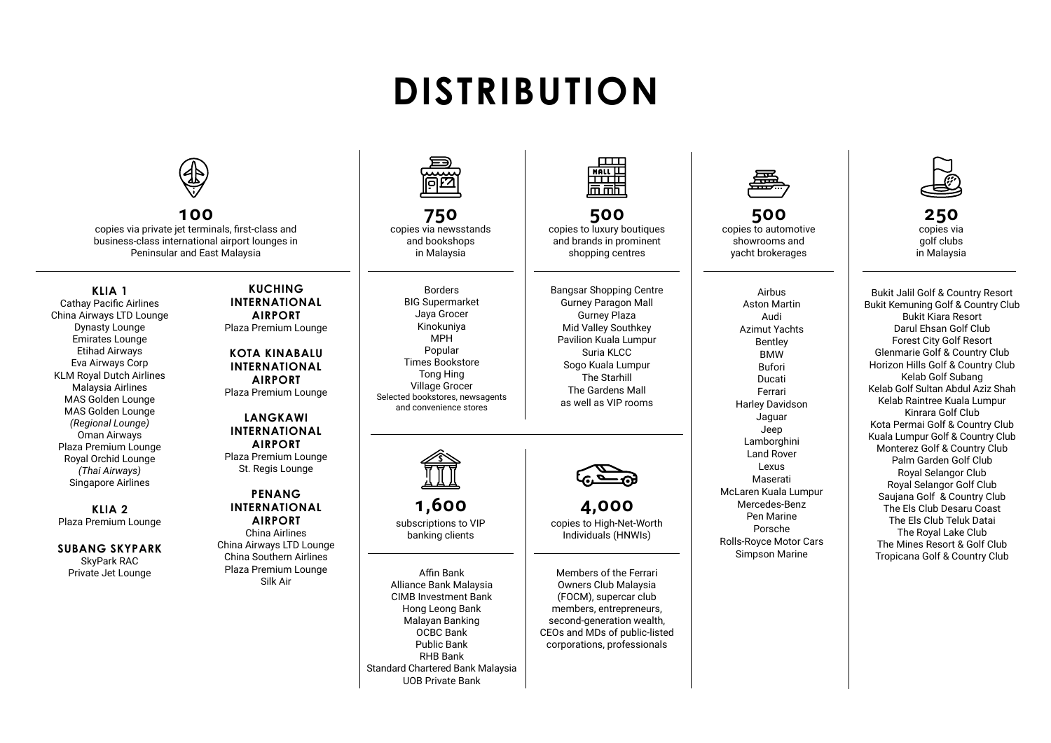# **DISTRIBUTION**



**100** copies via private jet terminals, first-class and business-class international airport lounges in Peninsular and East Malaysia

#### **KLIA 1** Cathay Pacific Airlines China Airways LTD Lounge Dynasty Lounge Emirates Lounge Etihad Airways Eva Airways Corp KLM Royal Dutch Airlines Malaysia Airlines MAS Golden Lounge MAS Golden Lounge *(Regional Lounge)*  Oman Airways Plaza Premium Lounge Royal Orchid Lounge *(Thai Airways)*  Singapore Airlines

**KLIA 2** Plaza Premium Lounge

**SUBANG SKYPARK** SkyPark RAC Private Jet Lounge

### **KUCHING INTERNATIONAL AIRPORT**  Plaza Premium Lounge

**KOTA KINABALU INTERNATIONAL AIRPORT** Plaza Premium Lounge

#### **LANGKAWI INTERNATIONAL AIRPORT** Plaza Premium Lounge St. Regis Lounge

#### **PENANG INTERNATIONAL AIRPORT** China Airlines China Airways LTD Lounge China Southern Airlines Plaza Premium Lounge Silk Air



**750** copies via newsstands and bookshops in Malaysia

Borders BIG Supermarket Jaya Grocer Kinokuniya MPH Popular Times Bookstore Tong Hing Village Grocer Selected bookstores, newsagents and convenience stores



**1,600** subscriptions to VIP banking clients

Affin Bank Alliance Bank Malaysia CIMB Investment Bank Hong Leong Bank Malayan Banking OCBC Bank Public Bank RHB Bank Standard Chartered Bank Malaysia UOB Private Bank



**500** copies to luxury boutiques and brands in prominent shopping centres

Bangsar Shopping Centre Gurney Paragon Mall Gurney Plaza Mid Valley Southkey Pavilion Kuala Lumpur Suria KLCC Sogo Kuala Lumpur The Starhill The Gardens Mall as well as VIP rooms



**4,000** copies to High-Net-Worth Individuals (HNWIs)

Members of the Ferrari Owners Club Malaysia (FOCM), supercar club members, entrepreneurs, second-generation wealth. CEOs and MDs of public-listed corporations, professionals



**500** copies to automotive showrooms and yacht brokerages

Airbus Aston Martin Audi Azimut Yachts Bentley **BMW** Bufori Ducati Ferrari Harley Davidson Jaguar Jeep Lamborghini Land Rover Lexus Maserati McLaren Kuala Lumpur Mercedes-Benz Pen Marine Porsche Rolls-Royce Motor Cars Simpson Marine



**250** copies via golf clubs in Malaysia

Bukit Jalil Golf & Country Resort Bukit Kemuning Golf & Country Club Bukit Kiara Resort Darul Ehsan Golf Club Forest City Golf Resort Glenmarie Golf & Country Club Horizon Hills Golf & Country Club Kelab Golf Subang Kelab Golf Sultan Abdul Aziz Shah Kelab Raintree Kuala Lumpur Kinrara Golf Club Kota Permai Golf & Country Club Kuala Lumpur Golf & Country Club Monterez Golf & Country Club Palm Garden Golf Club Royal Selangor Club Royal Selangor Golf Club Saujana Golf & Country Club The Els Club Desaru Coast The Els Club Teluk Datai The Royal Lake Club The Mines Resort & Golf Club Tropicana Golf & Country Club